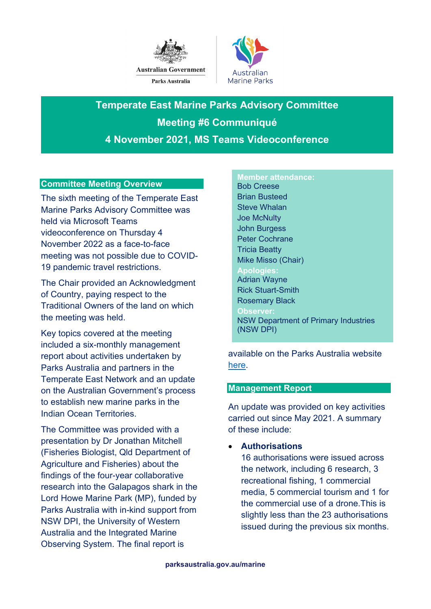



**Temperate East Marine Parks Advisory Committee Meeting #6 Communiqué 4 November 2021, MS Teams Videoconference**

### **Committee Meeting Overview**

The sixth meeting of the Temperate East Marine Parks Advisory Committee was held via Microsoft Teams videoconference on Thursday 4 November 2022 as a face-to-face meeting was not possible due to COVID-19 pandemic travel restrictions.

The Chair provided an Acknowledgment of Country, paying respect to the Traditional Owners of the land on which the meeting was held.

Key topics covered at the meeting included a six-monthly management report about activities undertaken by Parks Australia and partners in the Temperate East Network and an update on the Australian Government's process to establish new marine parks in the Indian Ocean Territories.

The Committee was provided with a presentation by Dr Jonathan Mitchell (Fisheries Biologist, Qld Department of Agriculture and Fisheries) about the findings of the four-year collaborative research into the Galapagos shark in the Lord Howe Marine Park (MP), funded by Parks Australia with in-kind support from NSW DPI, the University of Western Australia and the Integrated Marine Observing System. The final report is

# **Member attendance:** Bob Creese

Brian Busteed Steve Whalan Joe McNulty John Burgess Peter Cochrane Tricia Beatty Mike Misso (Chair) **Apologies:** Adrian Wayne Rick Stuart-Smith Rosemary Black **Observer:** NSW Department of Primary Industries (NSW DPI)

available on the Parks Australia website [here.](https://parksaustralia.gov.au/marine/management/resources/scientific-publications/galapagos-shark-movement-patterns-and-interactions-with-fishing-vessels-in-the-marine-parks-surrounding-howe-island/)

#### **Management Report**

An update was provided on key activities carried out since May 2021. A summary of these include:

### • **Authorisations**

16 authorisations were issued across the network, including 6 research, 3 recreational fishing, 1 commercial media, 5 commercial tourism and 1 for the commercial use of a drone. This is slightly less than the 23 authorisations issued during the previous six months.